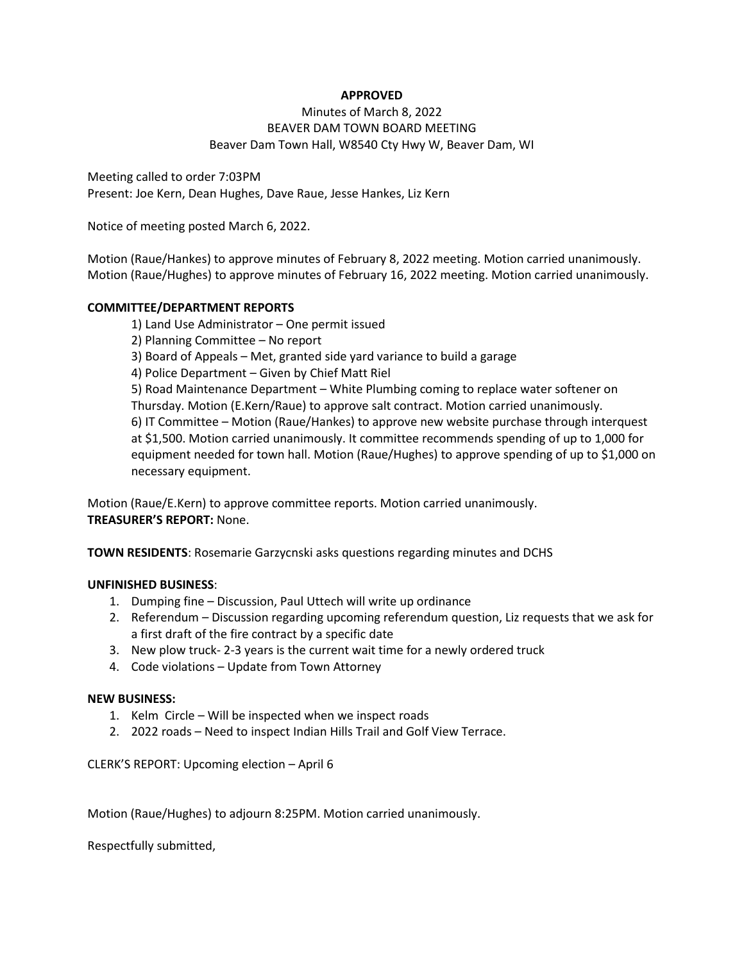# **APPROVED**

# Minutes of March 8, 2022 BEAVER DAM TOWN BOARD MEETING Beaver Dam Town Hall, W8540 Cty Hwy W, Beaver Dam, WI

Meeting called to order 7:03PM Present: Joe Kern, Dean Hughes, Dave Raue, Jesse Hankes, Liz Kern

Notice of meeting posted March 6, 2022.

Motion (Raue/Hankes) to approve minutes of February 8, 2022 meeting. Motion carried unanimously. Motion (Raue/Hughes) to approve minutes of February 16, 2022 meeting. Motion carried unanimously.

### **COMMITTEE/DEPARTMENT REPORTS**

1) Land Use Administrator – One permit issued 2) Planning Committee – No report 3) Board of Appeals – Met, granted side yard variance to build a garage 4) Police Department – Given by Chief Matt Riel 5) Road Maintenance Department – White Plumbing coming to replace water softener on Thursday. Motion (E.Kern/Raue) to approve salt contract. Motion carried unanimously. 6) IT Committee – Motion (Raue/Hankes) to approve new website purchase through interquest at \$1,500. Motion carried unanimously. It committee recommends spending of up to 1,000 for equipment needed for town hall. Motion (Raue/Hughes) to approve spending of up to \$1,000 on necessary equipment.

Motion (Raue/E.Kern) to approve committee reports. Motion carried unanimously. **TREASURER'S REPORT:** None.

**TOWN RESIDENTS**: Rosemarie Garzycnski asks questions regarding minutes and DCHS

### **UNFINISHED BUSINESS**:

- 1. Dumping fine Discussion, Paul Uttech will write up ordinance
- 2. Referendum Discussion regarding upcoming referendum question, Liz requests that we ask for a first draft of the fire contract by a specific date
- 3. New plow truck- 2-3 years is the current wait time for a newly ordered truck
- 4. Code violations Update from Town Attorney

#### **NEW BUSINESS:**

- 1. Kelm Circle Will be inspected when we inspect roads
- 2. 2022 roads Need to inspect Indian Hills Trail and Golf View Terrace.

#### CLERK'S REPORT: Upcoming election – April 6

Motion (Raue/Hughes) to adjourn 8:25PM. Motion carried unanimously.

Respectfully submitted,